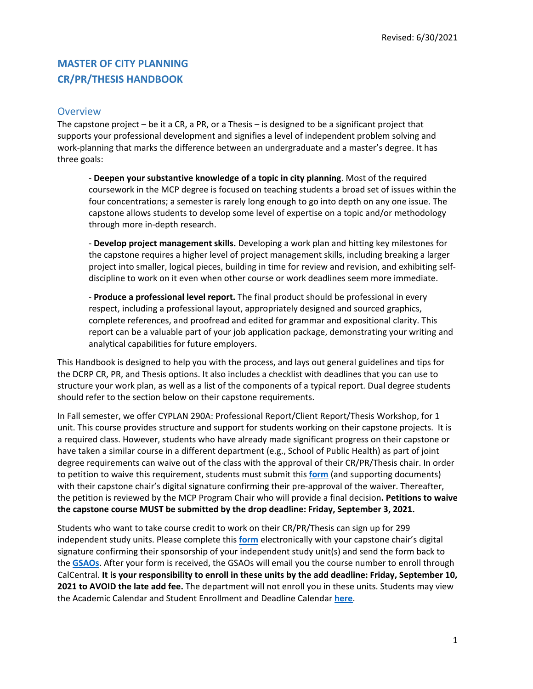# **MASTER OF CITY PLANNING CR/PR/THESIS HANDBOOK**

### **Overview**

The capstone project – be it a CR, a PR, or a Thesis – is designed to be a significant project that supports your professional development and signifies a level of independent problem solving and work-planning that marks the difference between an undergraduate and a master's degree. It has three goals:

- **Deepen your substantive knowledge of a topic in city planning**. Most of the required coursework in the MCP degree is focused on teaching students a broad set of issues within the four concentrations; a semester is rarely long enough to go into depth on any one issue. The capstone allows students to develop some level of expertise on a topic and/or methodology through more in-depth research.

- **Develop project management skills.** Developing a work plan and hitting key milestones for the capstone requires a higher level of project management skills, including breaking a larger project into smaller, logical pieces, building in time for review and revision, and exhibiting selfdiscipline to work on it even when other course or work deadlines seem more immediate.

- **Produce a professional level report.** The final product should be professional in every respect, including a professional layout, appropriately designed and sourced graphics, complete references, and proofread and edited for grammar and expositional clarity. This report can be a valuable part of your job application package, demonstrating your writing and analytical capabilities for future employers.

This Handbook is designed to help you with the process, and lays out general guidelines and tips for the DCRP CR, PR, and Thesis options. It also includes a checklist with deadlines that you can use to structure your work plan, as well as a list of the components of a typical report. Dual degree students should refer to the section below on their capstone requirements.

In Fall semester, we offer CYPLAN 290A: Professional Report/Client Report/Thesis Workshop, for 1 unit. This course provides structure and support for students working on their capstone projects. It is a required class. However, students who have already made significant progress on their capstone or have taken a similar course in a different department (e.g., School of Public Health) as part of joint degree requirements can waive out of the class with the approval of their CR/PR/Thesis chair. In order to petition to waive this requirement, students must submit this **[form](https://ced.berkeley.edu/images/uploads/content/Petition_to_Substitute_MCP_Core_Concentration_Requirement_2021.pdf)** (and supporting documents) with their capstone chair's digital signature confirming their pre-approval of the waiver. Thereafter, the petition is reviewed by the MCP Program Chair who will provide a final decision**. Petitions to waive the capstone course MUST be submitted by the drop deadline: Friday, September 3, 2021.** 

Students who want to take course credit to work on their CR/PR/Thesis can sign up for 299 independent study units. Please complete this **[form](https://ced.berkeley.edu/images/uploads/content/MCP_Petition_for_Independent_Study_Course.pdf)** electronically with your capstone chair's digital signature confirming their sponsorship of your independent study unit(s) and send the form back to the **[GSAOs](mailto:dcrpgrad@berkeley.edu)**. After your form is received, the GSAOs will email you the course number to enroll through CalCentral. **It is your responsibility to enroll in these units by the add deadline: Friday, September 10, 2021 to AVOID the late add fee.** The department will not enroll you in these units. Students may view the Academic Calendar and Student Enrollment and Deadline Calendar **[here](https://registrar.berkeley.edu/calendar/)**.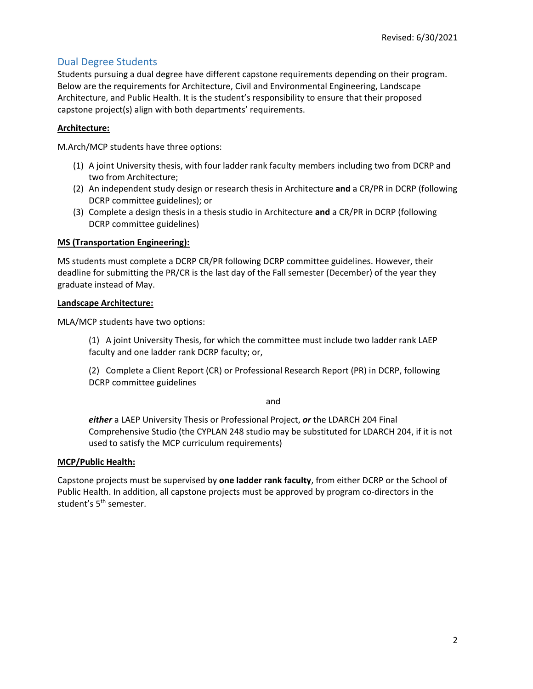## Dual Degree Students

Students pursuing a dual degree have different capstone requirements depending on their program. Below are the requirements for Architecture, Civil and Environmental Engineering, Landscape Architecture, and Public Health. It is the student's responsibility to ensure that their proposed capstone project(s) align with both departments' requirements.

### **Architecture:**

M.Arch/MCP students have three options:

- (1) A joint University thesis, with four ladder rank faculty members including two from DCRP and two from Architecture;
- (2) An independent study design or research thesis in Architecture **and** a CR/PR in DCRP (following DCRP committee guidelines); or
- (3) Complete a design thesis in a thesis studio in Architecture **and** a CR/PR in DCRP (following DCRP committee guidelines)

### **MS (Transportation Engineering):**

MS students must complete a DCRP CR/PR following DCRP committee guidelines. However, their deadline for submitting the PR/CR is the last day of the Fall semester (December) of the year they graduate instead of May.

### **Landscape Architecture:**

MLA/MCP students have two options:

(1) A joint University Thesis, for which the committee must include two ladder rank LAEP faculty and one ladder rank DCRP faculty; or,

(2) Complete a Client Report (CR) or Professional Research Report (PR) in DCRP, following DCRP committee guidelines

and

*either* a LAEP University Thesis or Professional Project, *or* the LDARCH 204 Final Comprehensive Studio (the CYPLAN 248 studio may be substituted for LDARCH 204, if it is not used to satisfy the MCP curriculum requirements)

### **MCP/Public Health:**

Capstone projects must be supervised by **one ladder rank faculty**, from either DCRP or the School of Public Health. In addition, all capstone projects must be approved by program co-directors in the student's 5<sup>th</sup> semester.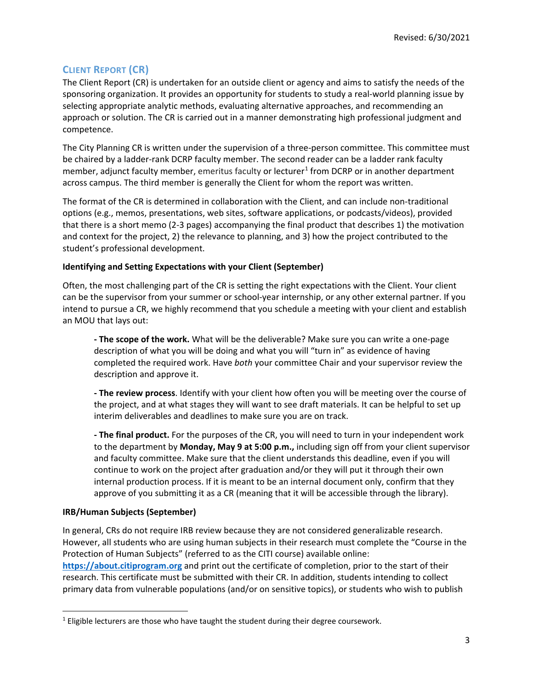## **CLIENT REPORT (CR)**

The Client Report (CR) is undertaken for an outside client or agency and aims to satisfy the needs of the sponsoring organization. It provides an opportunity for students to study a real-world planning issue by selecting appropriate analytic methods, evaluating alternative approaches, and recommending an approach or solution. The CR is carried out in a manner demonstrating high professional judgment and competence.

The City Planning CR is written under the supervision of a three-person committee. This committee must be chaired by a ladder-rank DCRP faculty member. The second reader can be a ladder rank faculty member, adjunct faculty member, emeritus faculty or lecturer<sup>[1](#page-2-0)</sup> from DCRP or in another department across campus. The third member is generally the Client for whom the report was written.

The format of the CR is determined in collaboration with the Client, and can include non-traditional options (e.g., memos, presentations, web sites, software applications, or podcasts/videos), provided that there is a short memo (2-3 pages) accompanying the final product that describes 1) the motivation and context for the project, 2) the relevance to planning, and 3) how the project contributed to the student's professional development.

### **Identifying and Setting Expectations with your Client (September)**

Often, the most challenging part of the CR is setting the right expectations with the Client. Your client can be the supervisor from your summer or school-year internship, or any other external partner. If you intend to pursue a CR, we highly recommend that you schedule a meeting with your client and establish an MOU that lays out:

**- The scope of the work.** What will be the deliverable? Make sure you can write a one-page description of what you will be doing and what you will "turn in" as evidence of having completed the required work. Have *both* your committee Chair and your supervisor review the description and approve it.

**- The review process**. Identify with your client how often you will be meeting over the course of the project, and at what stages they will want to see draft materials. It can be helpful to set up interim deliverables and deadlines to make sure you are on track.

**- The final product.** For the purposes of the CR, you will need to turn in your independent work to the department by **Monday, May 9 at 5:00 p.m.,** including sign off from your client supervisor and faculty committee. Make sure that the client understands this deadline, even if you will continue to work on the project after graduation and/or they will put it through their own internal production process. If it is meant to be an internal document only, confirm that they approve of you submitting it as a CR (meaning that it will be accessible through the library).

### **IRB/Human Subjects (September)**

In general, CRs do not require IRB review because they are not considered generalizable research. However, all students who are using human subjects in their research must complete the "Course in the Protection of Human Subjects" (referred to as the CITI course) available online: **[https://about.citiprogram.org](https://about.citiprogram.org/)** and print out the certificate of completion, prior to the start of their research. This certificate must be submitted with their CR. In addition, students intending to collect primary data from vulnerable populations (and/or on sensitive topics), or students who wish to publish

<span id="page-2-0"></span> $<sup>1</sup>$  Eligible lecturers are those who have taught the student during their degree coursework.</sup>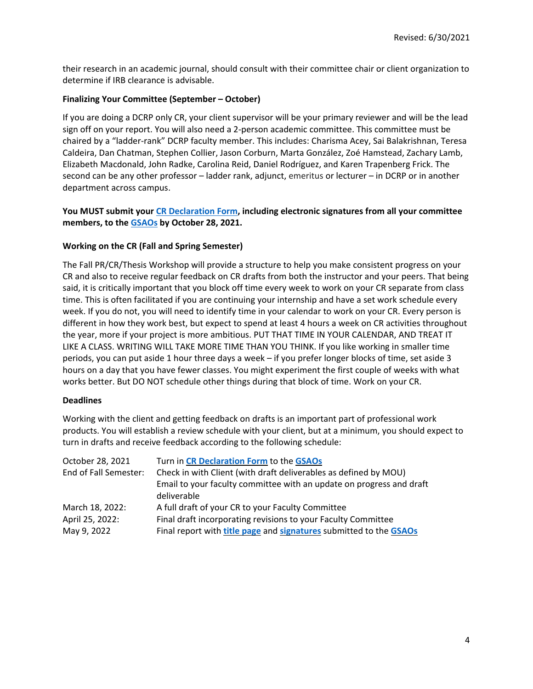their research in an academic journal, should consult with their committee chair or client organization to determine if IRB clearance is advisable.

### **Finalizing Your Committee (September – October)**

If you are doing a DCRP only CR, your client supervisor will be your primary reviewer and will be the lead sign off on your report. You will also need a 2-person academic committee. This committee must be chaired by a "ladder-rank" DCRP faculty member. This includes: Charisma Acey, Sai Balakrishnan, Teresa Caldeira, Dan Chatman, Stephen Collier, Jason Corburn, Marta González, Zoé Hamstead, Zachary Lamb, Elizabeth Macdonald, John Radke, Carolina Reid, Daniel Rodríguez, and Karen Trapenberg Frick. The second can be any other professor – ladder rank, adjunct, emeritus or lecturer – in DCRP or in another department across campus.

### **You MUST submit your CR [Declaration](https://ced.berkeley.edu/images/uploads/content/MCP_PR_CR_Declaration_AY_21-22.pdf) Form, including electronic signatures from all your committee members, to the [GSAOs](mailto:dcrpgrad@berkeley.edu) by October 28, 2021.**

### **Working on the CR (Fall and Spring Semester)**

The Fall PR/CR/Thesis Workshop will provide a structure to help you make consistent progress on your CR and also to receive regular feedback on CR drafts from both the instructor and your peers. That being said, it is critically important that you block off time every week to work on your CR separate from class time. This is often facilitated if you are continuing your internship and have a set work schedule every week. If you do not, you will need to identify time in your calendar to work on your CR. Every person is different in how they work best, but expect to spend at least 4 hours a week on CR activities throughout the year, more if your project is more ambitious. PUT THAT TIME IN YOUR CALENDAR, AND TREAT IT LIKE A CLASS. WRITING WILL TAKE MORE TIME THAN YOU THINK. If you like working in smaller time periods, you can put aside 1 hour three days a week – if you prefer longer blocks of time, set aside 3 hours on a day that you have fewer classes. You might experiment the first couple of weeks with what works better. But DO NOT schedule other things during that block of time. Work on your CR.

### **Deadlines**

Working with the client and getting feedback on drafts is an important part of professional work products. You will establish a review schedule with your client, but at a minimum, you should expect to turn in drafts and receive feedback according to the following schedule:

| October 28, 2021      | Turn in CR Declaration Form to the GSAOs                             |  |
|-----------------------|----------------------------------------------------------------------|--|
| End of Fall Semester: | Check in with Client (with draft deliverables as defined by MOU)     |  |
|                       | Email to your faculty committee with an update on progress and draft |  |
|                       | deliverable                                                          |  |
| March 18, 2022:       | A full draft of your CR to your Faculty Committee                    |  |
| April 25, 2022:       | Final draft incorporating revisions to your Faculty Committee        |  |
| May 9, 2022           | Final report with title page and signatures submitted to the GSAOs   |  |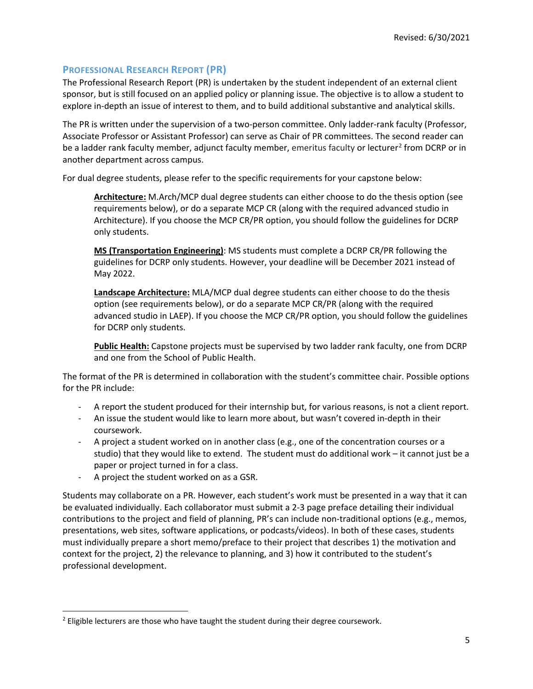### **PROFESSIONAL RESEARCH REPORT (PR)**

The Professional Research Report (PR) is undertaken by the student independent of an external client sponsor, but is still focused on an applied policy or planning issue. The objective is to allow a student to explore in-depth an issue of interest to them, and to build additional substantive and analytical skills.

The PR is written under the supervision of a two-person committee. Only ladder-rank faculty (Professor, Associate Professor or Assistant Professor) can serve as Chair of PR committees. The second reader can be a ladder rank faculty member, adjunct faculty member, emeritus faculty or lecturer<sup>[2](#page-4-0)</sup> from DCRP or in another department across campus.

For dual degree students, please refer to the specific requirements for your capstone below:

**Architecture:** M.Arch/MCP dual degree students can either choose to do the thesis option (see requirements below), or do a separate MCP CR (along with the required advanced studio in Architecture). If you choose the MCP CR/PR option, you should follow the guidelines for DCRP only students.

**MS (Transportation Engineering)**: MS students must complete a DCRP CR/PR following the guidelines for DCRP only students. However, your deadline will be December 2021 instead of May 2022.

**Landscape Architecture:** MLA/MCP dual degree students can either choose to do the thesis option (see requirements below), or do a separate MCP CR/PR (along with the required advanced studio in LAEP). If you choose the MCP CR/PR option, you should follow the guidelines for DCRP only students.

**Public Health:** Capstone projects must be supervised by two ladder rank faculty, one from DCRP and one from the School of Public Health.

The format of the PR is determined in collaboration with the student's committee chair. Possible options for the PR include:

- A report the student produced for their internship but, for various reasons, is not a client report.
- An issue the student would like to learn more about, but wasn't covered in-depth in their coursework.
- A project a student worked on in another class (e.g., one of the concentration courses or a studio) that they would like to extend. The student must do additional work – it cannot just be a paper or project turned in for a class.
- A project the student worked on as a GSR.

Students may collaborate on a PR. However, each student's work must be presented in a way that it can be evaluated individually. Each collaborator must submit a 2-3 page preface detailing their individual contributions to the project and field of planning, PR's can include non-traditional options (e.g., memos, presentations, web sites, software applications, or podcasts/videos). In both of these cases, students must individually prepare a short memo/preface to their project that describes 1) the motivation and context for the project, 2) the relevance to planning, and 3) how it contributed to the student's professional development.

<span id="page-4-0"></span> $<sup>2</sup>$  Eligible lecturers are those who have taught the student during their degree coursework.</sup>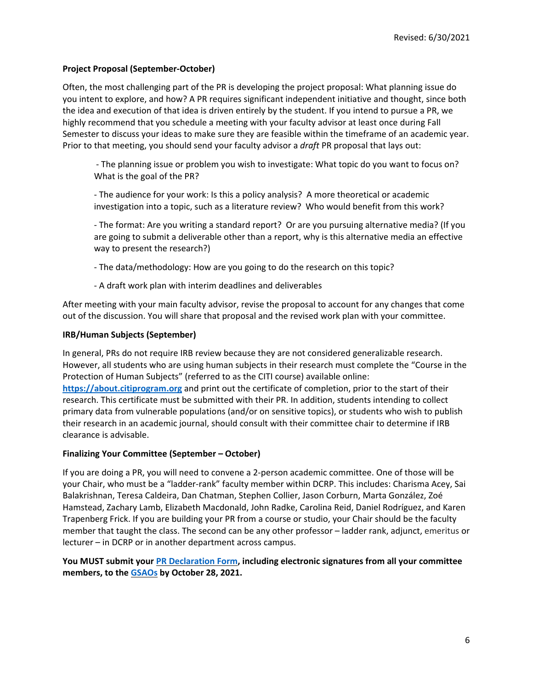### **Project Proposal (September-October)**

Often, the most challenging part of the PR is developing the project proposal: What planning issue do you intent to explore, and how? A PR requires significant independent initiative and thought, since both the idea and execution of that idea is driven entirely by the student. If you intend to pursue a PR, we highly recommend that you schedule a meeting with your faculty advisor at least once during Fall Semester to discuss your ideas to make sure they are feasible within the timeframe of an academic year. Prior to that meeting, you should send your faculty advisor a *draft* PR proposal that lays out:

- The planning issue or problem you wish to investigate: What topic do you want to focus on? What is the goal of the PR?

- The audience for your work: Is this a policy analysis? A more theoretical or academic investigation into a topic, such as a literature review? Who would benefit from this work?

- The format: Are you writing a standard report? Or are you pursuing alternative media? (If you are going to submit a deliverable other than a report, why is this alternative media an effective way to present the research?)

- The data/methodology: How are you going to do the research on this topic?

- A draft work plan with interim deadlines and deliverables

After meeting with your main faculty advisor, revise the proposal to account for any changes that come out of the discussion. You will share that proposal and the revised work plan with your committee.

### **IRB/Human Subjects (September)**

In general, PRs do not require IRB review because they are not considered generalizable research. However, all students who are using human subjects in their research must complete the "Course in the Protection of Human Subjects" (referred to as the CITI course) available online: **[https://about.citiprogram.org](https://about.citiprogram.org/)** and print out the certificate of completion, prior to the start of their research. This certificate must be submitted with their PR. In addition, students intending to collect primary data from vulnerable populations (and/or on sensitive topics), or students who wish to publish their research in an academic journal, should consult with their committee chair to determine if IRB clearance is advisable.

### **Finalizing Your Committee (September – October)**

If you are doing a PR, you will need to convene a 2-person academic committee. One of those will be your Chair, who must be a "ladder-rank" faculty member within DCRP. This includes: Charisma Acey, Sai Balakrishnan, Teresa Caldeira, Dan Chatman, Stephen Collier, Jason Corburn, Marta González, Zoé Hamstead, Zachary Lamb, Elizabeth Macdonald, John Radke, Carolina Reid, Daniel Rodríguez, and Karen Trapenberg Frick. If you are building your PR from a course or studio, your Chair should be the faculty member that taught the class. The second can be any other professor – ladder rank, adjunct, emeritus or lecturer – in DCRP or in another department across campus.

**You MUST submit your PR [Declaration](https://ced.berkeley.edu/images/uploads/content/MCP_PR_CR_Declaration_AY_21-22.pdf) Form, including electronic signatures from all your committee members, to the [GSAOs](mailto:dcrpgrad@berkeley.edu) by October 28, 2021.**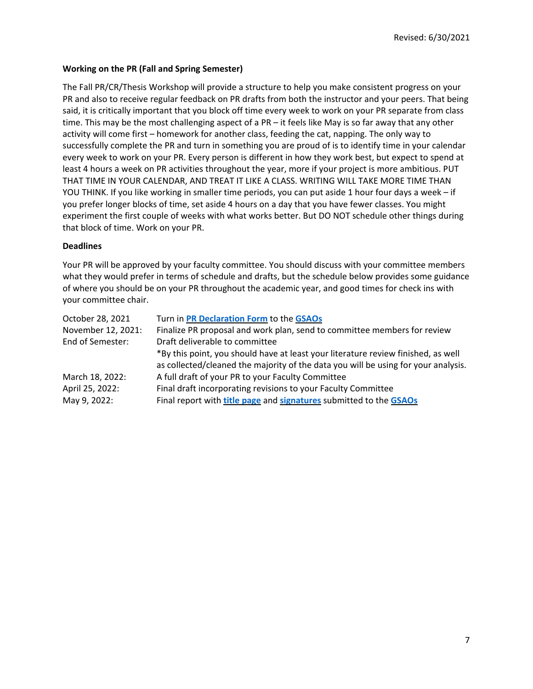### **Working on the PR (Fall and Spring Semester)**

The Fall PR/CR/Thesis Workshop will provide a structure to help you make consistent progress on your PR and also to receive regular feedback on PR drafts from both the instructor and your peers. That being said, it is critically important that you block off time every week to work on your PR separate from class time. This may be the most challenging aspect of a PR – it feels like May is so far away that any other activity will come first – homework for another class, feeding the cat, napping. The only way to successfully complete the PR and turn in something you are proud of is to identify time in your calendar every week to work on your PR. Every person is different in how they work best, but expect to spend at least 4 hours a week on PR activities throughout the year, more if your project is more ambitious. PUT THAT TIME IN YOUR CALENDAR, AND TREAT IT LIKE A CLASS. WRITING WILL TAKE MORE TIME THAN YOU THINK. If you like working in smaller time periods, you can put aside 1 hour four days a week – if you prefer longer blocks of time, set aside 4 hours on a day that you have fewer classes. You might experiment the first couple of weeks with what works better. But DO NOT schedule other things during that block of time. Work on your PR.

### **Deadlines**

Your PR will be approved by your faculty committee. You should discuss with your committee members what they would prefer in terms of schedule and drafts, but the schedule below provides some guidance of where you should be on your PR throughout the academic year, and good times for check ins with your committee chair.

| October 28, 2021   | Turn in PR Declaration Form to the GSAOs                                           |  |
|--------------------|------------------------------------------------------------------------------------|--|
| November 12, 2021: | Finalize PR proposal and work plan, send to committee members for review           |  |
| End of Semester:   | Draft deliverable to committee                                                     |  |
|                    | *By this point, you should have at least your literature review finished, as well  |  |
|                    | as collected/cleaned the majority of the data you will be using for your analysis. |  |
| March 18, 2022:    | A full draft of your PR to your Faculty Committee                                  |  |
| April 25, 2022:    | Final draft incorporating revisions to your Faculty Committee                      |  |
| May 9, 2022:       | Final report with title page and signatures submitted to the GSAOs                 |  |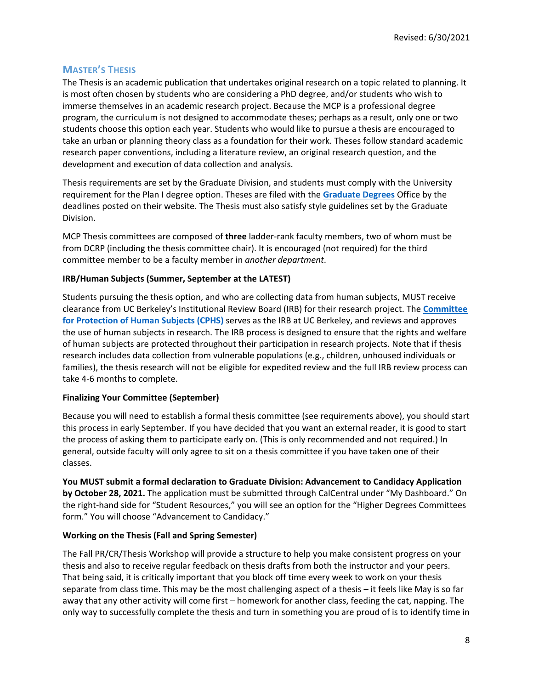### **MASTER'S THESIS**

The Thesis is an academic publication that undertakes original research on a topic related to planning. It is most often chosen by students who are considering a PhD degree, and/or students who wish to immerse themselves in an academic research project. Because the MCP is a professional degree program, the curriculum is not designed to accommodate theses; perhaps as a result, only one or two students choose this option each year. Students who would like to pursue a thesis are encouraged to take an urban or planning theory class as a foundation for their work. Theses follow standard academic research paper conventions, including a literature review, an original research question, and the development and execution of data collection and analysis.

Thesis requirements are set by the Graduate Division, and students must comply with the University requirement for the Plan I degree option. Theses are filed with the **[Graduate Degrees](https://grad.berkeley.edu/academic-progress/thesis/)** [Office](http://www.grad.berkeley.edu/policies/degree_filing_deadlines.shtml) by the deadlines posted on their website. The Thesis must also satisfy style guidelines set by the [Graduate](http://www.grad.berkeley.edu/policies/pdf/disguide.pdf)  [Division.](http://www.grad.berkeley.edu/policies/pdf/disguide.pdf)

MCP Thesis committees are composed of **three** ladder-rank faculty members, two of whom must be from DCRP (including the thesis committee chair). It is encouraged (not required) for the third committee member to be a faculty member in *another department*.

### **IRB/Human Subjects (Summer, September at the LATEST)**

Students pursuing the thesis option, and who are collecting data from human subjects, MUST receive clearance from UC Berkeley's Institutional Review Board (IRB) for their research project. The **[Committee](https://cphs.berkeley.edu/)  [for Protection of Human Subjects \(CPHS\)](https://cphs.berkeley.edu/)** serves as the IRB at UC Berkeley, and reviews and approves the use of human subjects in research. The IRB process is designed to ensure that the rights and welfare of human subjects are protected throughout their participation in research projects. Note that if thesis research includes data collection from vulnerable populations (e.g., children, unhoused individuals or families), the thesis research will not be eligible for expedited review and the full IRB review process can take 4-6 months to complete.

### **Finalizing Your Committee (September)**

Because you will need to establish a formal thesis committee (see requirements above), you should start this process in early September. If you have decided that you want an external reader, it is good to start the process of asking them to participate early on. (This is only recommended and not required.) In general, outside faculty will only agree to sit on a thesis committee if you have taken one of their classes.

**You MUST submit a formal declaration to Graduate Division: Advancement to Candidacy Application by October 28, 2021.** The application must be submitted through CalCentral under "My Dashboard." On the right-hand side for "Student Resources," you will see an option for the "Higher Degrees Committees form." You will choose "Advancement to Candidacy."

### **Working on the Thesis (Fall and Spring Semester)**

The Fall PR/CR/Thesis Workshop will provide a structure to help you make consistent progress on your thesis and also to receive regular feedback on thesis drafts from both the instructor and your peers. That being said, it is critically important that you block off time every week to work on your thesis separate from class time. This may be the most challenging aspect of a thesis – it feels like May is so far away that any other activity will come first – homework for another class, feeding the cat, napping. The only way to successfully complete the thesis and turn in something you are proud of is to identify time in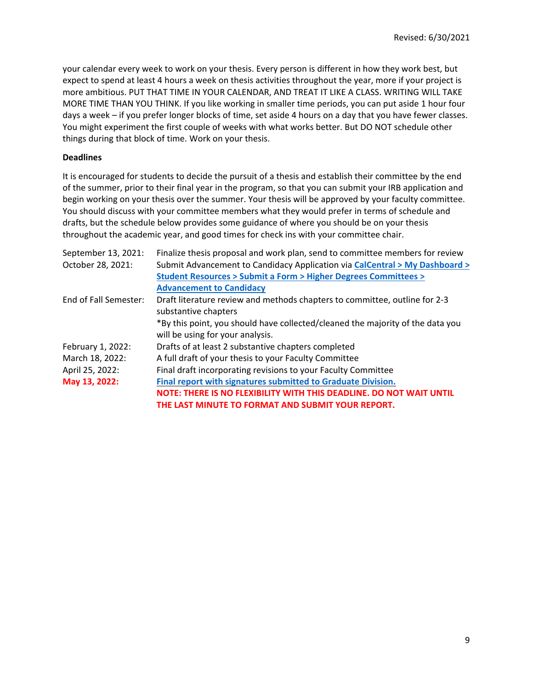your calendar every week to work on your thesis. Every person is different in how they work best, but expect to spend at least 4 hours a week on thesis activities throughout the year, more if your project is more ambitious. PUT THAT TIME IN YOUR CALENDAR, AND TREAT IT LIKE A CLASS. WRITING WILL TAKE MORE TIME THAN YOU THINK. If you like working in smaller time periods, you can put aside 1 hour four days a week – if you prefer longer blocks of time, set aside 4 hours on a day that you have fewer classes. You might experiment the first couple of weeks with what works better. But DO NOT schedule other things during that block of time. Work on your thesis.

### **Deadlines**

It is encouraged for students to decide the pursuit of a thesis and establish their committee by the end of the summer, prior to their final year in the program, so that you can submit your IRB application and begin working on your thesis over the summer. Your thesis will be approved by your faculty committee. You should discuss with your committee members what they would prefer in terms of schedule and drafts, but the schedule below provides some guidance of where you should be on your thesis throughout the academic year, and good times for check ins with your committee chair.

| September 13, 2021:   | Finalize thesis proposal and work plan, send to committee members for review    |  |
|-----------------------|---------------------------------------------------------------------------------|--|
| October 28, 2021:     | Submit Advancement to Candidacy Application via CalCentral > My Dashboard >     |  |
|                       | <b>Student Resources &gt; Submit a Form &gt; Higher Degrees Committees &gt;</b> |  |
|                       | <b>Advancement to Candidacy</b>                                                 |  |
| End of Fall Semester: | Draft literature review and methods chapters to committee, outline for 2-3      |  |
|                       | substantive chapters                                                            |  |
|                       | *By this point, you should have collected/cleaned the majority of the data you  |  |
|                       | will be using for your analysis.                                                |  |
| February 1, 2022:     | Drafts of at least 2 substantive chapters completed                             |  |
| March 18, 2022:       | A full draft of your thesis to your Faculty Committee                           |  |
| April 25, 2022:       | Final draft incorporating revisions to your Faculty Committee                   |  |
| May 13, 2022:         | Final report with signatures submitted to Graduate Division.                    |  |
|                       | NOTE: THERE IS NO FLEXIBILITY WITH THIS DEADLINE. DO NOT WAIT UNTIL             |  |
|                       | THE LAST MINUTE TO FORMAT AND SUBMIT YOUR REPORT.                               |  |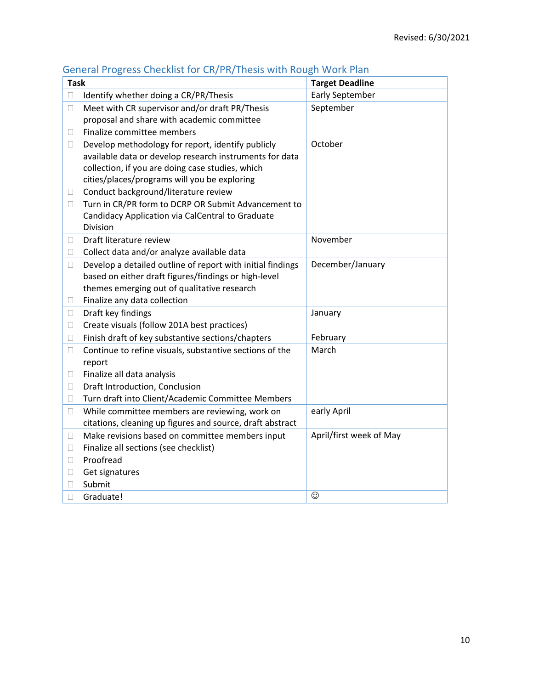# General Progress Checklist for CR/PR/Thesis with Rough Work Plan

| Task         |                                                                                                          | <b>Target Deadline</b>  |
|--------------|----------------------------------------------------------------------------------------------------------|-------------------------|
| □            | Identify whether doing a CR/PR/Thesis                                                                    | <b>Early September</b>  |
| $\Box$       | Meet with CR supervisor and/or draft PR/Thesis                                                           | September               |
|              | proposal and share with academic committee                                                               |                         |
| $\mathbf{L}$ | Finalize committee members                                                                               |                         |
| 0            | Develop methodology for report, identify publicly                                                        | October                 |
|              | available data or develop research instruments for data                                                  |                         |
|              | collection, if you are doing case studies, which                                                         |                         |
|              | cities/places/programs will you be exploring                                                             |                         |
| $\Box$       | Conduct background/literature review                                                                     |                         |
| 0            | Turn in CR/PR form to DCRP OR Submit Advancement to                                                      |                         |
|              | Candidacy Application via CalCentral to Graduate                                                         |                         |
|              | Division<br>Draft literature review                                                                      | November                |
| 0            |                                                                                                          |                         |
| u            | Collect data and/or analyze available data<br>Develop a detailed outline of report with initial findings | December/January        |
| □            | based on either draft figures/findings or high-level                                                     |                         |
|              | themes emerging out of qualitative research                                                              |                         |
| $\Box$       | Finalize any data collection                                                                             |                         |
| $\Box$       | Draft key findings                                                                                       | January                 |
| □            | Create visuals (follow 201A best practices)                                                              |                         |
| $\Box$       | Finish draft of key substantive sections/chapters                                                        | February                |
| □            | Continue to refine visuals, substantive sections of the                                                  | March                   |
|              | report                                                                                                   |                         |
| $\Box$       | Finalize all data analysis                                                                               |                         |
| 0            | Draft Introduction, Conclusion                                                                           |                         |
| $\Box$       | Turn draft into Client/Academic Committee Members                                                        |                         |
| □            | While committee members are reviewing, work on                                                           | early April             |
|              | citations, cleaning up figures and source, draft abstract                                                |                         |
| П            | Make revisions based on committee members input                                                          | April/first week of May |
| $\Box$       | Finalize all sections (see checklist)                                                                    |                         |
| П            | Proofread                                                                                                |                         |
| $\Box$       | Get signatures                                                                                           |                         |
| Ш            | Submit                                                                                                   |                         |
| П            | Graduate!                                                                                                | $\odot$                 |